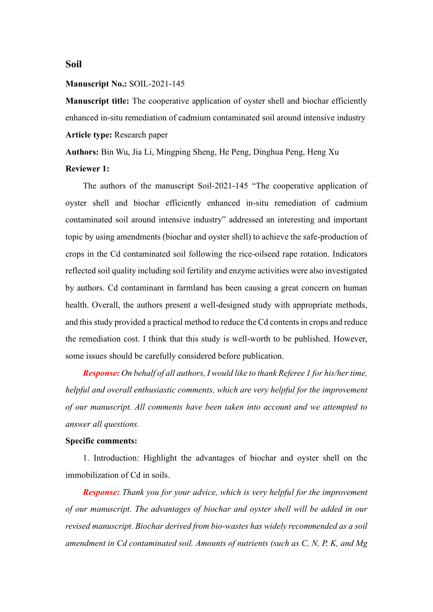**Soil**

## **Manuscript No.:** SOIL-2021-145

**Manuscript title:** The cooperative application of oyster shell and biochar efficiently enhanced in-situ remediation of cadmium contaminated soil around intensive industry **Article type:** Research paper

**Authors:** Bin Wu, Jia Li, Mingping Sheng, He Peng, Dinghua Peng, Heng Xu

## **Reviewer 1:**

The authors of the manuscript Soil-2021-145 "The cooperative application of oyster shell and biochar efficiently enhanced in-situ remediation of cadmium contaminated soil around intensive industry" addressed an interesting and important topic by using amendments (biochar and oyster shell) to achieve the safe-production of crops in the Cd contaminated soil following the rice-oilseed rape rotation. Indicators reflected soil quality including soil fertility and enzyme activities were also investigated by authors. Cd contaminant in farmland has been causing a great concern on human health. Overall, the authors present a well-designed study with appropriate methods, and this study provided a practical method to reduce the Cd contents in crops and reduce the remediation cost. I think that this study is well-worth to be published. However, some issues should be carefully considered before publication.

*Response: On behalf of all authors, I would like to thank Referee 1 for his/her time, helpful and overall enthusiastic comments, which are very helpful for the improvement of our manuscript. All comments have been taken into account and we attempted to answer all questions.* 

## **Specific comments:**

1. Introduction: Highlight the advantages of biochar and oyster shell on the immobilization of Cd in soils.

*Response: Thank you for your advice, which is very helpful for the improvement of our manuscript. The advantages of biochar and oyster shell will be added in our revised manuscript. Biochar derived from bio-wastes has widely recommended as a soil amendment in Cd contaminated soil. Amounts of nutrients (such as C, N, P, K, and Mg*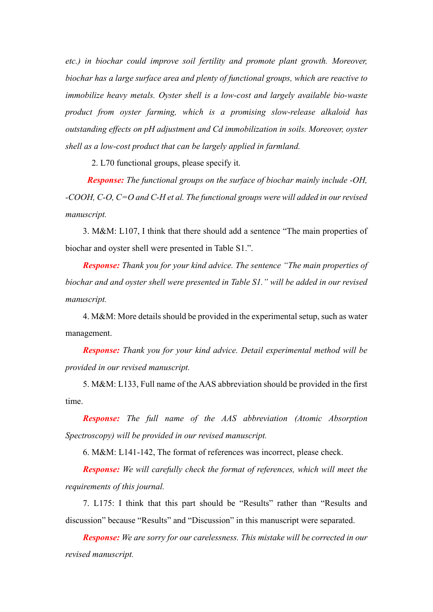*etc.) in biochar could improve soil fertility and promote plant growth. Moreover, biochar has a large surface area and plenty of functional groups, which are reactive to immobilize heavy metals. Oyster shell is a low-cost and largely available bio-waste product from oyster farming, which is a promising slow-release alkaloid has outstanding effects on pH adjustment and Cd immobilization in soils. Moreover, oyster shell as a low-cost product that can be largely applied in farmland.*

2. L70 functional groups, please specify it.

 *Response: The functional groups on the surface of biochar mainly include -OH, -COOH, C-O, C=O and C-H et al. The functional groups were will added in our revised manuscript.*

3. M&M: L107, I think that there should add a sentence "The main properties of biochar and oyster shell were presented in Table S1.".

*Response: Thank you for your kind advice. The sentence "The main properties of biochar and and oyster shell were presented in Table S1." will be added in our revised manuscript.*

4. M&M: More details should be provided in the experimental setup, such as water management.

*Response: Thank you for your kind advice. Detail experimental method will be provided in our revised manuscript.*

5. M&M: L133, Full name of the AAS abbreviation should be provided in the first time.

*Response: The full name of the AAS abbreviation (Atomic Absorption Spectroscopy) will be provided in our revised manuscript.*

6. M&M: L141-142, The format of references was incorrect, please check.

*Response: We will carefully check the format of references, which will meet the requirements of this journal.*

7. L175: I think that this part should be "Results" rather than "Results and discussion" because "Results" and "Discussion" in this manuscript were separated.

*Response: We are sorry for our carelessness. This mistake will be corrected in our revised manuscript.*